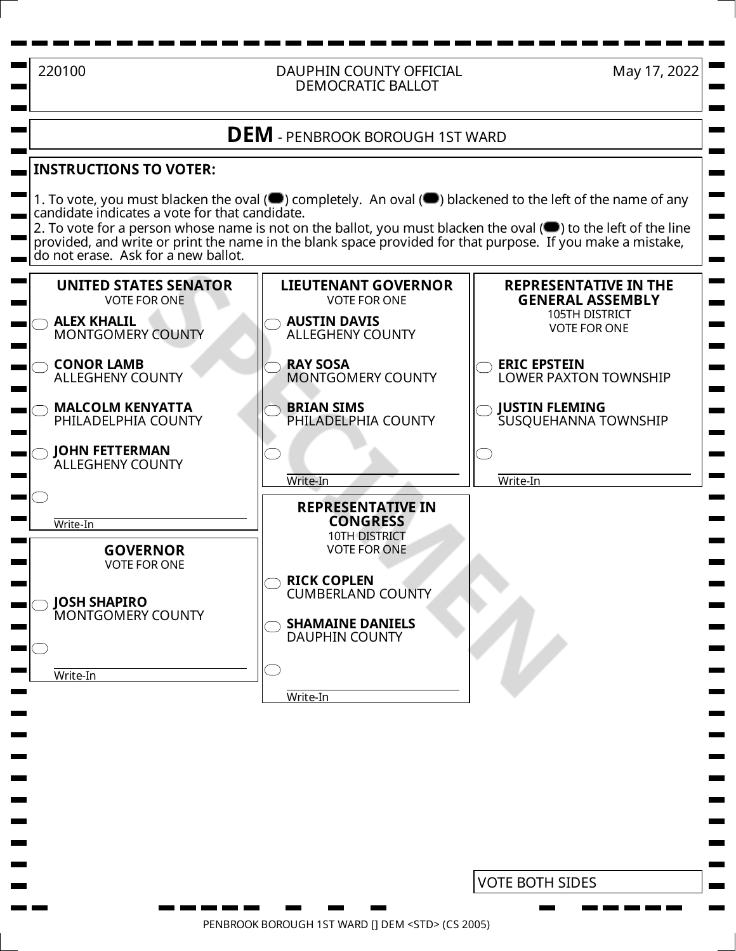## 220100 DAUPHIN COUNTY OFFICIAL DEMOCRATIC BALLOT

May 17, 2022

## **DEM** - PENBROOK BOROUGH 1ST WARD

## **INSTRUCTIONS TO VOTER:**

1. To vote, you must blacken the oval (<sup>1</sup>) completely. An oval (<sup>2</sup>) blackened to the left of the name of any candidate indicates a vote for that candidate.

2. To vote for a person whose name is not on the ballot, you must blacken the oval  $($ **)** to the left of the line provided, and write or print the name in the blank space provided for that purpose. If you make a mistake, .<br>do not erase. Ask for a new ballot.